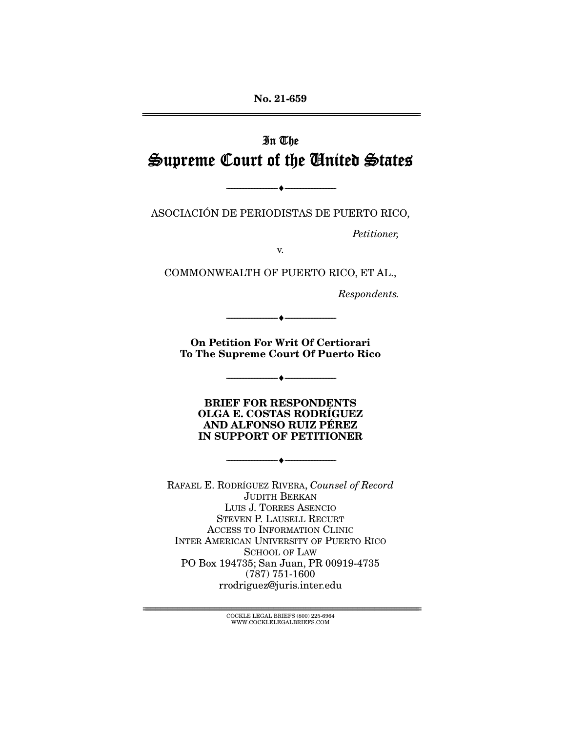**No. 21-659**  ================================================================================================================

# In The Supreme Court of the United States

ASOCIACIÓN DE PERIODISTAS DE PUERTO RICO,

--------------------------------- ♦ ---------------------------------

Petitioner,

v.

COMMONWEALTH OF PUERTO RICO, ET AL.,

Respondents.

**On Petition For Writ Of Certiorari To The Supreme Court Of Puerto Rico** 

--------------------------------- ♦ ---------------------------------

--------------------------------- ♦ ---------------------------------

**BRIEF FOR RESPONDENTS OLGA E. COSTAS RODRÍGUEZ AND ALFONSO RUIZ PÉREZ IN SUPPORT OF PETITIONER** 

--------------------------------- ♦ ---------------------------------

RAFAEL E. RODRÍGUEZ RIVERA, Counsel of Record JUDITH BERKAN LUIS J. TORRES ASENCIO STEVEN P. LAUSELL RECURT ACCESS TO INFORMATION CLINIC INTER AMERICAN UNIVERSITY OF PUERTO RICO SCHOOL OF LAW PO Box 194735; San Juan, PR 00919-4735 (787) 751-1600 rrodriguez@juris.inter.edu

> ${ \rm COCKLE}$  LEGAL BRIEFS (800) 225-6964 WWW.COCKLELEGALBRIEFS.COM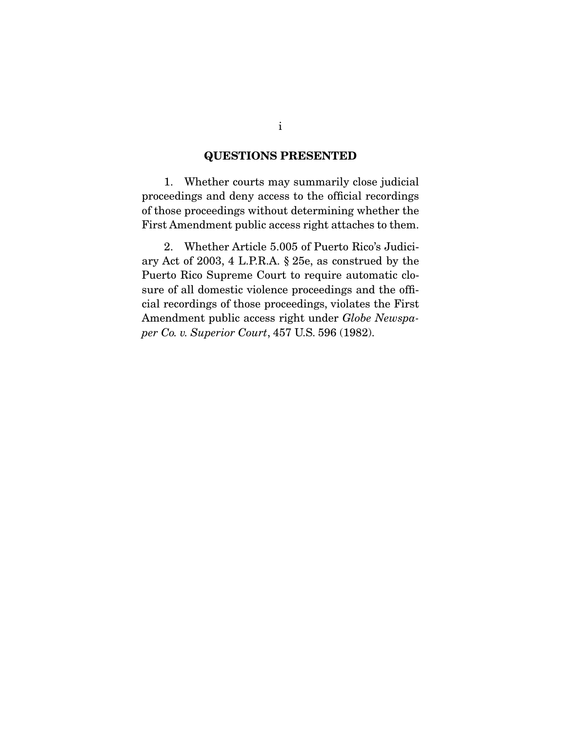### **QUESTIONS PRESENTED**

 1. Whether courts may summarily close judicial proceedings and deny access to the official recordings of those proceedings without determining whether the First Amendment public access right attaches to them.

 2. Whether Article 5.005 of Puerto Rico's Judiciary Act of 2003, 4 L.P.R.A. § 25e, as construed by the Puerto Rico Supreme Court to require automatic closure of all domestic violence proceedings and the official recordings of those proceedings, violates the First Amendment public access right under *Globe Newspaper Co. v. Superior Court*, 457 U.S. 596 (1982).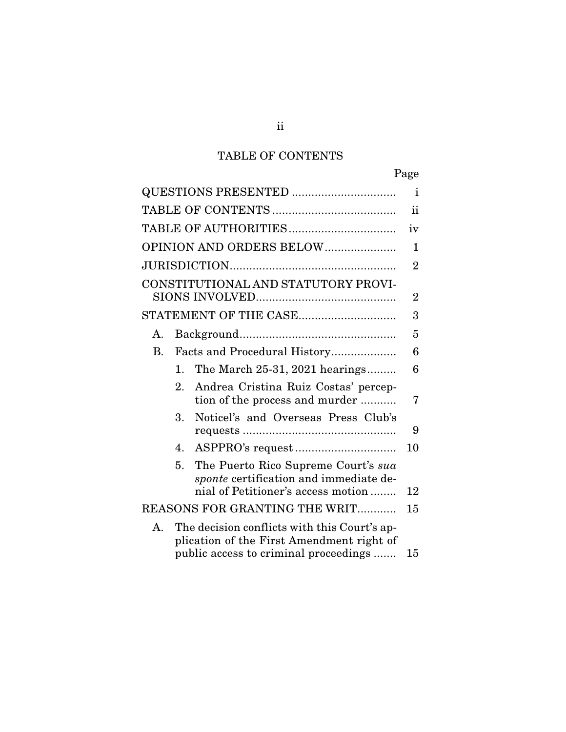## TABLE OF CONTENTS

|                                                                                                                                          | Page           |
|------------------------------------------------------------------------------------------------------------------------------------------|----------------|
| QUESTIONS PRESENTED                                                                                                                      | Ť              |
|                                                                                                                                          | ii             |
|                                                                                                                                          | iv             |
| OPINION AND ORDERS BELOW                                                                                                                 | $\mathbf{1}$   |
|                                                                                                                                          | $\overline{2}$ |
| CONSTITUTIONAL AND STATUTORY PROVI-                                                                                                      | $\overline{2}$ |
| STATEMENT OF THE CASE                                                                                                                    | 3              |
| А.                                                                                                                                       | 5              |
| <b>B.</b><br>Facts and Procedural History                                                                                                | 6              |
| The March 25-31, 2021 hearings<br>$\mathbf{1}$ .                                                                                         | 6              |
| Andrea Cristina Ruiz Costas' percep-<br>2.<br>tion of the process and murder                                                             | 7              |
| Noticel's and Overseas Press Club's<br>3.                                                                                                | 9              |
| 4.                                                                                                                                       | 10             |
| The Puerto Rico Supreme Court's sua<br>5.<br>sponte certification and immediate de-                                                      |                |
| nial of Petitioner's access motion                                                                                                       | 12             |
| REASONS FOR GRANTING THE WRIT                                                                                                            | 15             |
| The decision conflicts with this Court's ap-<br>А.<br>plication of the First Amendment right of<br>public access to criminal proceedings | 15             |

ii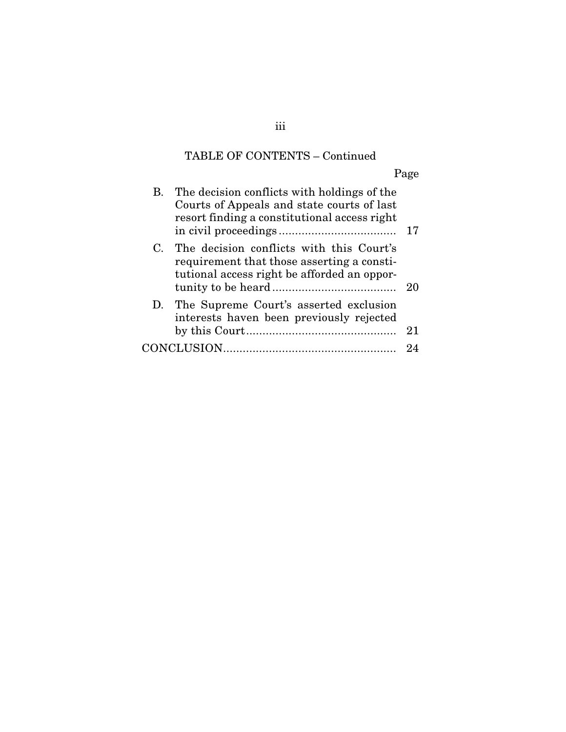# TABLE OF CONTENTS – Continued

Page

| В. | The decision conflicts with holdings of the<br>Courts of Appeals and state courts of last<br>resort finding a constitutional access right |    |
|----|-------------------------------------------------------------------------------------------------------------------------------------------|----|
| C. | The decision conflicts with this Court's<br>requirement that those asserting a consti-<br>tutional access right be afforded an oppor-     | 20 |
|    | D. The Supreme Court's asserted exclusion<br>interests haven been previously rejected                                                     | 21 |
|    |                                                                                                                                           |    |
|    |                                                                                                                                           |    |

iii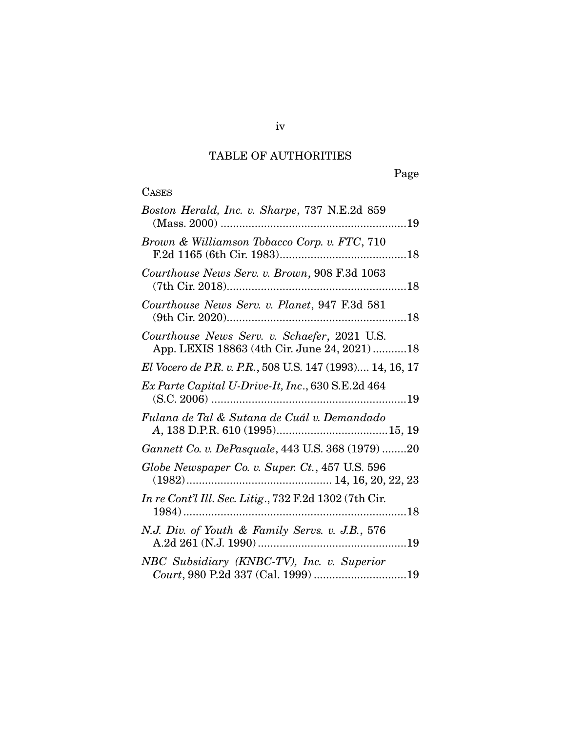## TABLE OF AUTHORITIES

# **CASES**

| Boston Herald, Inc. v. Sharpe, 737 N.E.2d 859                                                 |
|-----------------------------------------------------------------------------------------------|
| Brown & Williamson Tobacco Corp. v. FTC, 710                                                  |
| Courthouse News Serv. v. Brown, 908 F.3d 1063                                                 |
| Courthouse News Serv. v. Planet, 947 F.3d 581                                                 |
| Courthouse News Serv. v. Schaefer, 2021 U.S.<br>App. LEXIS 18863 (4th Cir. June 24, 2021)  18 |
| El Vocero de P.R. v. P.R., 508 U.S. 147 (1993) 14, 16, 17                                     |
| Ex Parte Capital U-Drive-It, Inc., 630 S.E.2d 464                                             |
| Fulana de Tal & Sutana de Cuál v. Demandado                                                   |
| Gannett Co. v. DePasquale, 443 U.S. 368 (1979) 20                                             |
| Globe Newspaper Co. v. Super. Ct., 457 U.S. 596                                               |
| In re Cont'l Ill. Sec. Litig., 732 F.2d 1302 (7th Cir.                                        |
| N.J. Div. of Youth & Family Servs. v. J.B., 576                                               |
| NBC Subsidiary (KNBC-TV), Inc. v. Superior                                                    |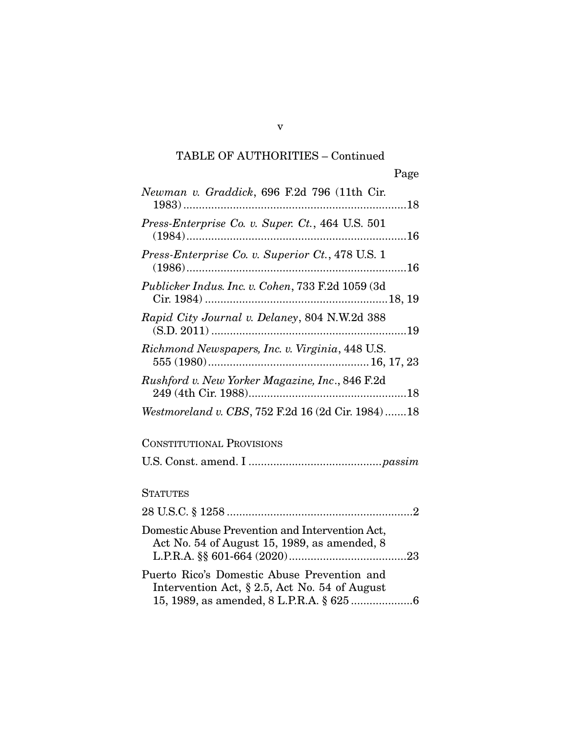| Newman v. Graddick, 696 F.2d 796 (11th Cir.                                                      |
|--------------------------------------------------------------------------------------------------|
| Press-Enterprise Co. v. Super. Ct., 464 U.S. 501                                                 |
| Press-Enterprise Co. v. Superior Ct., 478 U.S. 1                                                 |
| Publicker Indus. Inc. v. Cohen, 733 F.2d 1059 (3d                                                |
| Rapid City Journal v. Delaney, 804 N.W.2d 388                                                    |
| Richmond Newspapers, Inc. v. Virginia, 448 U.S.                                                  |
| Rushford v. New Yorker Magazine, Inc., 846 F.2d                                                  |
| Westmoreland v. CBS, 752 F.2d 16 (2d Cir. 1984)  18                                              |
| <b>CONSTITUTIONAL PROVISIONS</b>                                                                 |
|                                                                                                  |
| <b>STATUTES</b>                                                                                  |
|                                                                                                  |
| Domestic Abuse Prevention and Intervention Act,<br>Act No. 54 of August 15, 1989, as amended, 8  |
| Puerto Rico's Domestic Abuse Prevention and<br>Intervention Act, $\S 2.5$ , Act No. 54 of August |

v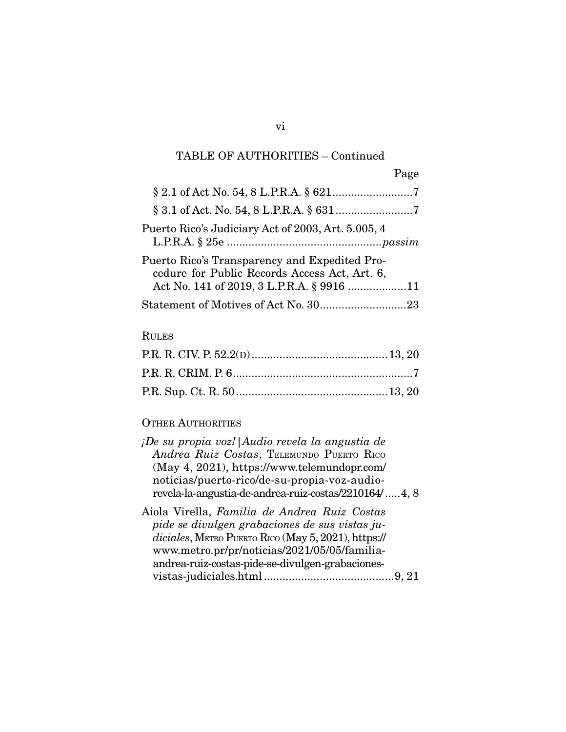|                                                                                                                                             | Page |
|---------------------------------------------------------------------------------------------------------------------------------------------|------|
|                                                                                                                                             |      |
|                                                                                                                                             |      |
| Puerto Rico's Judiciary Act of 2003, Art. 5.005, 4                                                                                          |      |
| Puerto Rico's Transparency and Expedited Pro-<br>cedure for Public Records Access Act, Art. 6,<br>Act No. 141 of 2019, 3 L.P.R.A. § 9916 11 |      |
| Statement of Motives of Act No. 3023                                                                                                        |      |

## RULES

## OTHER AUTHORITIES

| ¡De su propia voz!   Audio revela la angustia de<br>Andrea Ruiz Costas, TELEMUNDO PUERTO RICO<br>(May 4, 2021), https://www.telemundopr.com/                                                                                                              |
|-----------------------------------------------------------------------------------------------------------------------------------------------------------------------------------------------------------------------------------------------------------|
| noticias/puerto-rico/de-su-propia-voz-audio-                                                                                                                                                                                                              |
| revela-la-angustia-de-andrea-ruiz-costas/2210164/4, 8                                                                                                                                                                                                     |
| Aiola Virella, Familia de Andrea Ruiz Costas<br>pide se divulgen grabaciones de sus vistas ju-<br>diciales, METRO PUERTO RICO (May 5, 2021), https://<br>www.metro.pr/pr/noticias/2021/05/05/familia-<br>andrea-ruiz-costas-pide-se-divulgen-grabaciones- |
| 9, 21                                                                                                                                                                                                                                                     |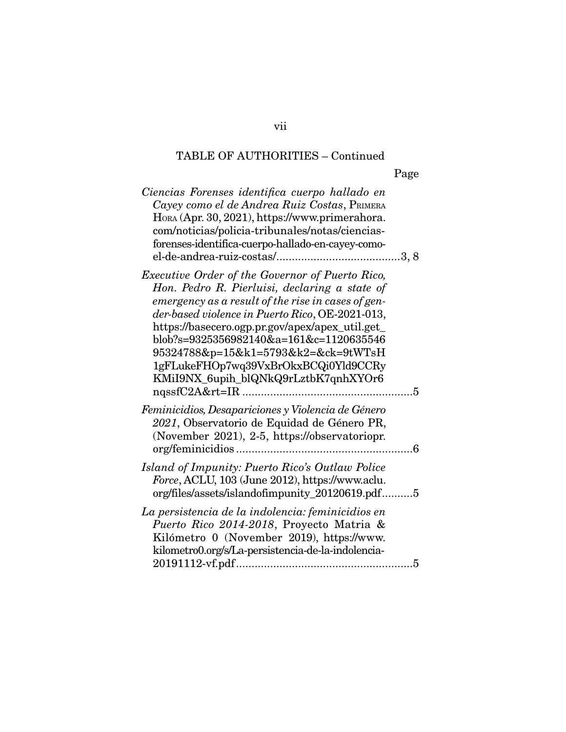| Ciencias Forenses identifica cuerpo hallado en<br>Cayey como el de Andrea Ruiz Costas, PRIMERA<br>HORA (Apr. 30, 2021), https://www.primerahora.<br>com/noticias/policia-tribunales/notas/ciencias-<br>forenses-identifica-cuerpo-hallado-en-cayey-como-                                                                                                                                                                                              |
|-------------------------------------------------------------------------------------------------------------------------------------------------------------------------------------------------------------------------------------------------------------------------------------------------------------------------------------------------------------------------------------------------------------------------------------------------------|
| Executive Order of the Governor of Puerto Rico,<br>Hon. Pedro R. Pierluisi, declaring a state of<br>emergency as a result of the rise in cases of gen-<br>der-based violence in Puerto Rico, OE-2021-013,<br>https://basecero.ogp.pr.gov/apex/apex_util.get_<br>blob?s=9325356982140&a=161&c=1120635546<br>95324788&p=15&k1=5793&k2=&ck=9tWTsH<br>1gFLukeFHOp7wq39VxBrOkxBCQi0Yld9CCRy<br>KMiI9NX_6upih_blQNkQ9rLztbK7qnhXYOr6<br>nqssfC2A&rt=IR<br>5 |
| Feminicidios, Desapariciones y Violencia de Género<br>2021, Observatorio de Equidad de Género PR,<br>(November 2021), 2-5, https://observatoriopr.<br>org/feminicidios<br>6                                                                                                                                                                                                                                                                           |
| Island of Impunity: Puerto Rico's Outlaw Police<br>Force, ACLU, 103 (June 2012), https://www.aclu.<br>org/files/assets/islandofimpunity_20120619.pdf5                                                                                                                                                                                                                                                                                                 |
| La persistencia de la indolencia: feminicidios en<br>Puerto Rico 2014-2018, Proyecto Matria &<br>Kilómetro 0 (November 2019), https://www.<br>kilometro0.org/s/La-persistencia-de-la-indolencia-<br>5                                                                                                                                                                                                                                                 |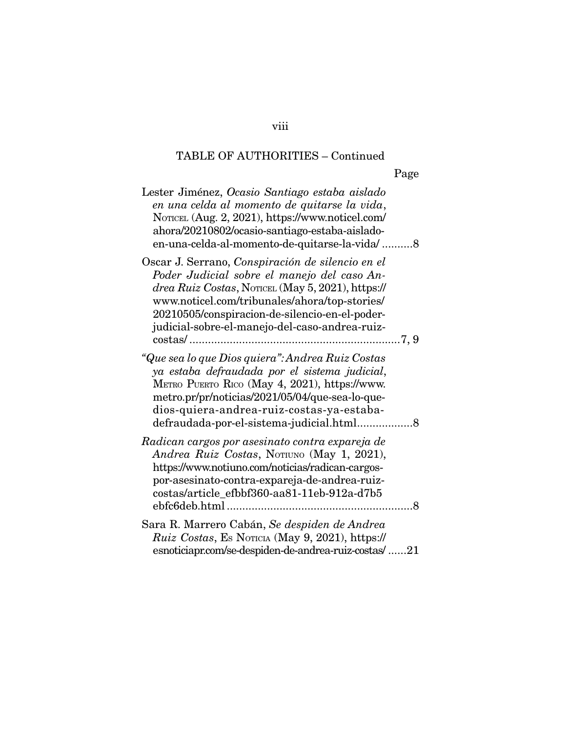| Lester Jiménez, Ocasio Santiago estaba aislado<br>en una celda al momento de quitarse la vida,<br>NOTICEL (Aug. 2, 2021), https://www.noticel.com/<br>ahora/20210802/ocasio-santiago-estaba-aislado-<br>en-una-celda-al-momento-de-quitarse-la-vida/8                                                     |
|-----------------------------------------------------------------------------------------------------------------------------------------------------------------------------------------------------------------------------------------------------------------------------------------------------------|
| Oscar J. Serrano, Conspiración de silencio en el<br>Poder Judicial sobre el manejo del caso An-<br>drea Ruiz Costas, NOTICEL (May 5, 2021), https://<br>www.noticel.com/tribunales/ahora/top-stories/<br>20210505/conspiracion-de-silencio-en-el-poder-<br>judicial-sobre-el-manejo-del-caso-andrea-ruiz- |
| "Que sea lo que Dios quiera": Andrea Ruiz Costas<br>ya estaba defraudada por el sistema judicial,<br>METRO PUERTO RICO (May 4, 2021), https://www.<br>metro.pr/pr/noticias/2021/05/04/que-sea-lo-que-<br>dios-quiera-andrea-ruiz-costas-ya-estaba-                                                        |
| Radican cargos por asesinato contra expareja de<br>Andrea Ruiz Costas, NOTIUNO (May 1, 2021),<br>https://www.notiuno.com/noticias/radican-cargos-<br>por-asesinato-contra-expareja-de-andrea-ruiz-<br>costas/article_efbbf360-aa81-11eb-912a-d7b5                                                         |
| Sara R. Marrero Cabán, Se despiden de Andrea<br>Ruiz Costas, Es Noricia (May 9, 2021), https://<br>esnoticiapr.com/se-despiden-de-andrea-ruiz-costas/21                                                                                                                                                   |

## viii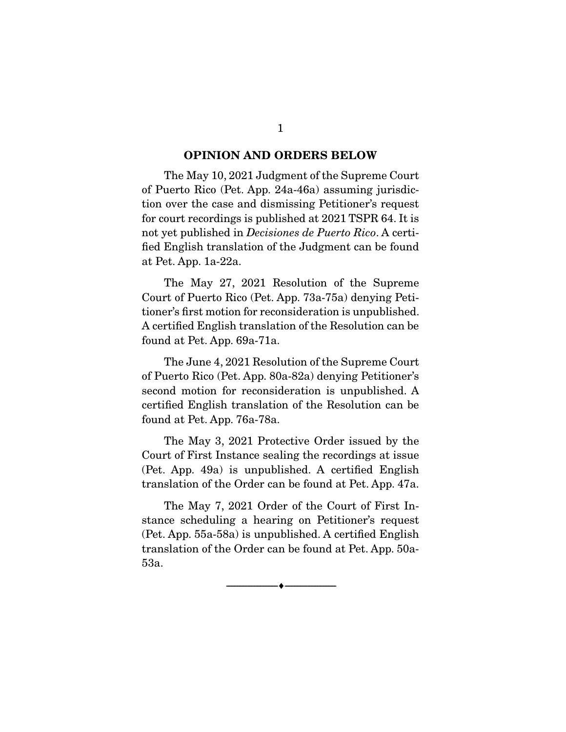#### **OPINION AND ORDERS BELOW**

The May 10, 2021 Judgment of the Supreme Court of Puerto Rico (Pet. App. 24a-46a) assuming jurisdiction over the case and dismissing Petitioner's request for court recordings is published at 2021 TSPR 64. It is not yet published in Decisiones de Puerto Rico. A certified English translation of the Judgment can be found at Pet. App. 1a-22a.

 The May 27, 2021 Resolution of the Supreme Court of Puerto Rico (Pet. App. 73a-75a) denying Petitioner's first motion for reconsideration is unpublished. A certified English translation of the Resolution can be found at Pet. App. 69a-71a.

 The June 4, 2021 Resolution of the Supreme Court of Puerto Rico (Pet. App. 80a-82a) denying Petitioner's second motion for reconsideration is unpublished. A certified English translation of the Resolution can be found at Pet. App. 76a-78a.

 The May 3, 2021 Protective Order issued by the Court of First Instance sealing the recordings at issue (Pet. App. 49a) is unpublished. A certified English translation of the Order can be found at Pet. App. 47a.

 The May 7, 2021 Order of the Court of First Instance scheduling a hearing on Petitioner's request (Pet. App. 55a-58a) is unpublished. A certified English translation of the Order can be found at Pet. App. 50a-53a.

--------------------------------- ♦ ---------------------------------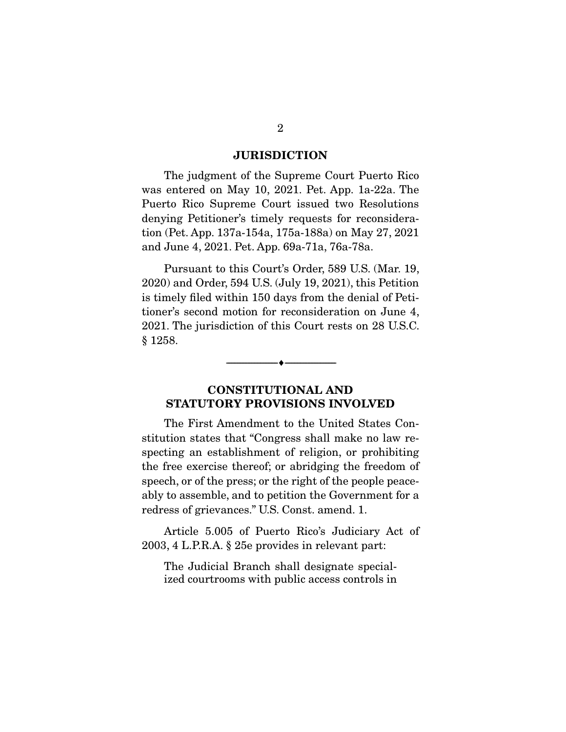#### **JURISDICTION**

The judgment of the Supreme Court Puerto Rico was entered on May 10, 2021. Pet. App. 1a-22a. The Puerto Rico Supreme Court issued two Resolutions denying Petitioner's timely requests for reconsideration (Pet. App. 137a-154a, 175a-188a) on May 27, 2021 and June 4, 2021. Pet. App. 69a-71a, 76a-78a.

 Pursuant to this Court's Order, 589 U.S. (Mar. 19, 2020) and Order, 594 U.S. (July 19, 2021), this Petition is timely filed within 150 days from the denial of Petitioner's second motion for reconsideration on June 4, 2021. The jurisdiction of this Court rests on 28 U.S.C. § 1258.

## **CONSTITUTIONAL AND STATUTORY PROVISIONS INVOLVED**

--------------------------------- ♦ ---------------------------------

The First Amendment to the United States Constitution states that "Congress shall make no law respecting an establishment of religion, or prohibiting the free exercise thereof; or abridging the freedom of speech, or of the press; or the right of the people peaceably to assemble, and to petition the Government for a redress of grievances." U.S. Const. amend. 1.

 Article 5.005 of Puerto Rico's Judiciary Act of 2003, 4 L.P.R.A. § 25e provides in relevant part:

The Judicial Branch shall designate specialized courtrooms with public access controls in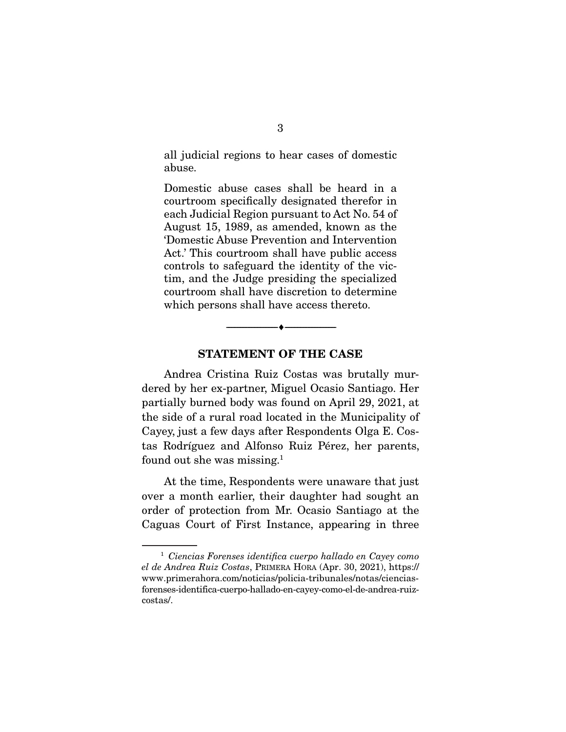all judicial regions to hear cases of domestic abuse.

Domestic abuse cases shall be heard in a courtroom specifically designated therefor in each Judicial Region pursuant to Act No. 54 of August 15, 1989, as amended, known as the 'Domestic Abuse Prevention and Intervention Act.' This courtroom shall have public access controls to safeguard the identity of the victim, and the Judge presiding the specialized courtroom shall have discretion to determine which persons shall have access thereto.



--------------------------------- ♦ ---------------------------------

Andrea Cristina Ruiz Costas was brutally murdered by her ex-partner, Miguel Ocasio Santiago. Her partially burned body was found on April 29, 2021, at the side of a rural road located in the Municipality of Cayey, just a few days after Respondents Olga E. Costas Rodríguez and Alfonso Ruiz Pérez, her parents, found out she was missing.1

 At the time, Respondents were unaware that just over a month earlier, their daughter had sought an order of protection from Mr. Ocasio Santiago at the Caguas Court of First Instance, appearing in three

<sup>1</sup> Ciencias Forenses identifica cuerpo hallado en Cayey como el de Andrea Ruiz Costas, PRIMERA HORA (Apr. 30, 2021), https:// www.primerahora.com/noticias/policia-tribunales/notas/cienciasforenses-identifica-cuerpo-hallado-en-cayey-como-el-de-andrea-ruizcostas/.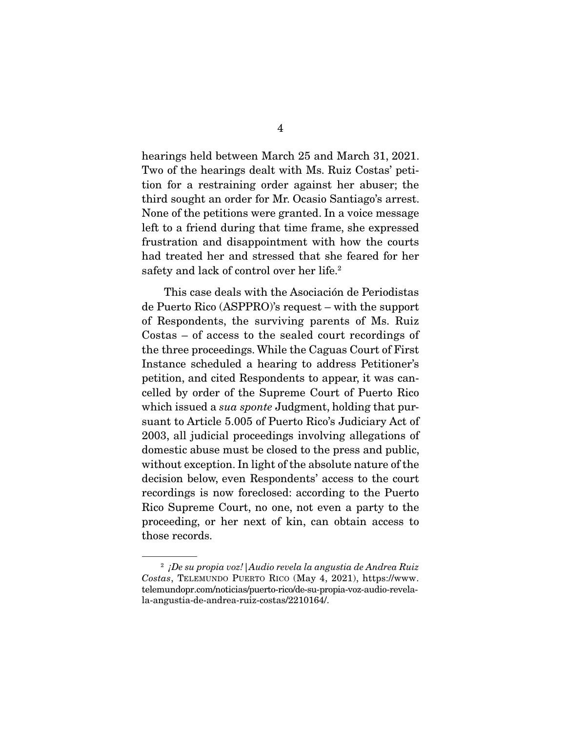hearings held between March 25 and March 31, 2021. Two of the hearings dealt with Ms. Ruiz Costas' petition for a restraining order against her abuser; the third sought an order for Mr. Ocasio Santiago's arrest. None of the petitions were granted. In a voice message left to a friend during that time frame, she expressed frustration and disappointment with how the courts had treated her and stressed that she feared for her safety and lack of control over her life.<sup>2</sup>

 This case deals with the Asociación de Periodistas de Puerto Rico (ASPPRO)'s request – with the support of Respondents, the surviving parents of Ms. Ruiz Costas – of access to the sealed court recordings of the three proceedings. While the Caguas Court of First Instance scheduled a hearing to address Petitioner's petition, and cited Respondents to appear, it was cancelled by order of the Supreme Court of Puerto Rico which issued a *sua sponte* Judgment, holding that pursuant to Article 5.005 of Puerto Rico's Judiciary Act of 2003, all judicial proceedings involving allegations of domestic abuse must be closed to the press and public, without exception. In light of the absolute nature of the decision below, even Respondents' access to the court recordings is now foreclosed: according to the Puerto Rico Supreme Court, no one, not even a party to the proceeding, or her next of kin, can obtain access to those records.

 $2$  iDe su propia voz! Audio revela la angustia de Andrea Ruiz Costas, TELEMUNDO PUERTO RICO (May 4, 2021), https://www. telemundopr.com/noticias/puerto-rico/de-su-propia-voz-audio-revelala-angustia-de-andrea-ruiz-costas/2210164/.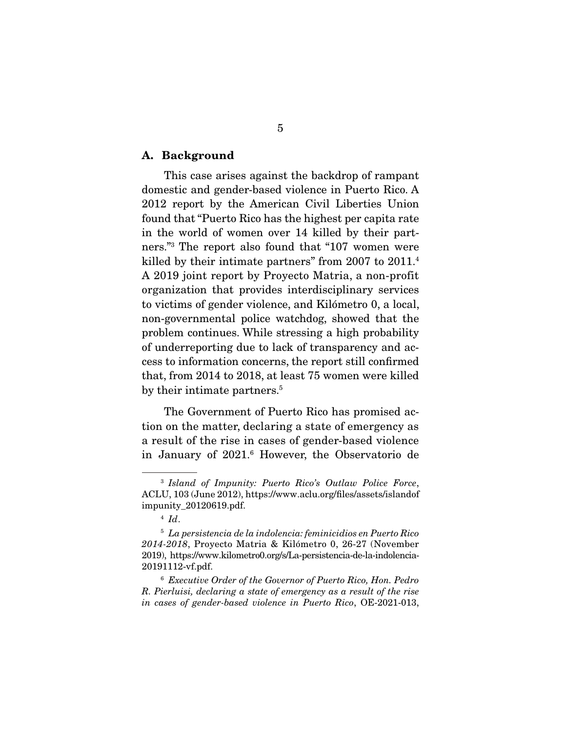#### **A. Background**

 This case arises against the backdrop of rampant domestic and gender-based violence in Puerto Rico. A 2012 report by the American Civil Liberties Union found that "Puerto Rico has the highest per capita rate in the world of women over 14 killed by their partners."3 The report also found that "107 women were killed by their intimate partners" from 2007 to 2011.<sup>4</sup> A 2019 joint report by Proyecto Matria, a non-profit organization that provides interdisciplinary services to victims of gender violence, and Kilómetro 0, a local, non-governmental police watchdog, showed that the problem continues. While stressing a high probability of underreporting due to lack of transparency and access to information concerns, the report still confirmed that, from 2014 to 2018, at least 75 women were killed by their intimate partners.<sup>5</sup>

 The Government of Puerto Rico has promised action on the matter, declaring a state of emergency as a result of the rise in cases of gender-based violence in January of 2021.6 However, the Observatorio de

<sup>3</sup> Island of Impunity: Puerto Rico's Outlaw Police Force, ACLU, 103 (June 2012), https://www.aclu.org/files/assets/islandof impunity\_20120619.pdf.

 $4$  Id.

 $5$  La persistencia de la indolencia: feminicidios en Puerto Rico 2014-2018, Proyecto Matria & Kilómetro 0, 26-27 (November 2019), https://www.kilometro0.org/s/La-persistencia-de-la-indolencia-20191112-vf.pdf.

<sup>6</sup> Executive Order of the Governor of Puerto Rico, Hon. Pedro R. Pierluisi, declaring a state of emergency as a result of the rise in cases of gender-based violence in Puerto Rico, OE-2021-013,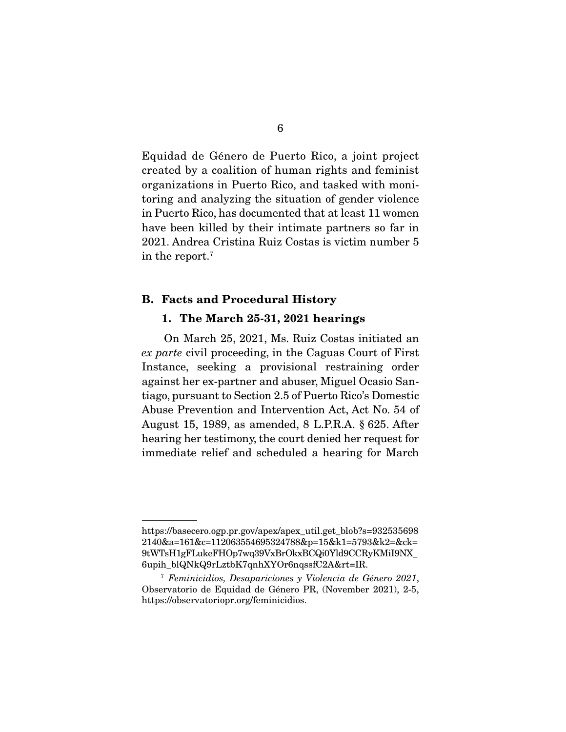Equidad de Género de Puerto Rico, a joint project created by a coalition of human rights and feminist organizations in Puerto Rico, and tasked with monitoring and analyzing the situation of gender violence in Puerto Rico, has documented that at least 11 women have been killed by their intimate partners so far in 2021. Andrea Cristina Ruiz Costas is victim number 5 in the report.7

#### **B. Facts and Procedural History**

#### **1. The March 25-31, 2021 hearings**

 On March 25, 2021, Ms. Ruiz Costas initiated an ex parte civil proceeding, in the Caguas Court of First Instance, seeking a provisional restraining order against her ex-partner and abuser, Miguel Ocasio Santiago, pursuant to Section 2.5 of Puerto Rico's Domestic Abuse Prevention and Intervention Act, Act No. 54 of August 15, 1989, as amended, 8 L.P.R.A. § 625. After hearing her testimony, the court denied her request for immediate relief and scheduled a hearing for March

https://basecero.ogp.pr.gov/apex/apex\_util.get\_blob?s=932535698 2140&a=161&c=112063554695324788&p=15&k1=5793&k2=&ck= 9tWTsH1gFLukeFHOp7wq39VxBrOkxBCQi0Yld9CCRyKMiI9NX\_ 6upih\_blQNkQ9rLztbK7qnhXYOr6nqssfC2A&rt=IR.

<sup>7</sup> Feminicidios, Desapariciones y Violencia de Género 2021, Observatorio de Equidad de Género PR, (November 2021), 2-5, https://observatoriopr.org/feminicidios.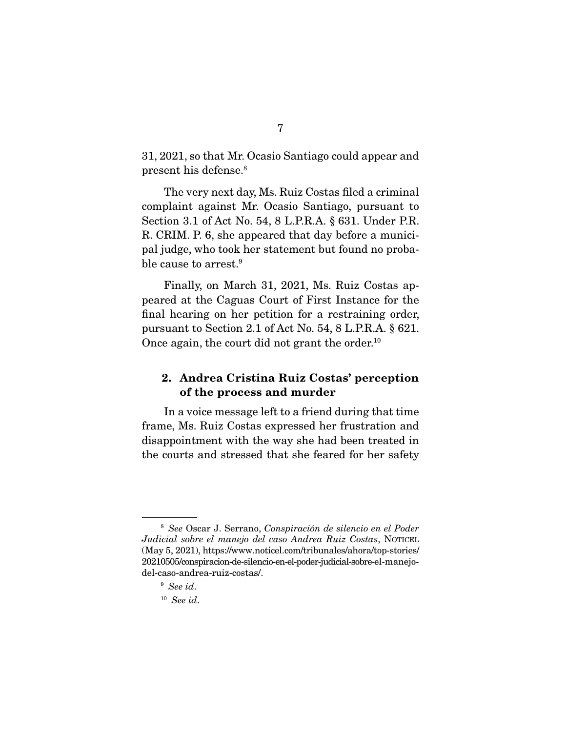31, 2021, so that Mr. Ocasio Santiago could appear and present his defense.8

 The very next day, Ms. Ruiz Costas filed a criminal complaint against Mr. Ocasio Santiago, pursuant to Section 3.1 of Act No. 54, 8 L.P.R.A. § 631. Under P.R. R. CRIM. P. 6, she appeared that day before a municipal judge, who took her statement but found no probable cause to arrest.<sup>9</sup>

 Finally, on March 31, 2021, Ms. Ruiz Costas appeared at the Caguas Court of First Instance for the final hearing on her petition for a restraining order, pursuant to Section 2.1 of Act No. 54, 8 L.P.R.A. § 621. Once again, the court did not grant the order.<sup>10</sup>

### **2. Andrea Cristina Ruiz Costas' perception of the process and murder**

 In a voice message left to a friend during that time frame, Ms. Ruiz Costas expressed her frustration and disappointment with the way she had been treated in the courts and stressed that she feared for her safety

<sup>8</sup> See Oscar J. Serrano, Conspiración de silencio en el Poder Judicial sobre el manejo del caso Andrea Ruiz Costas, NOTICEL (May 5, 2021), https://www.noticel.com/tribunales/ahora/top-stories/ 20210505/conspiracion-de-silencio-en-el-poder-judicial-sobre-el-manejodel-caso-andrea-ruiz-costas/.

<sup>9</sup> See id.

 $10$  See id.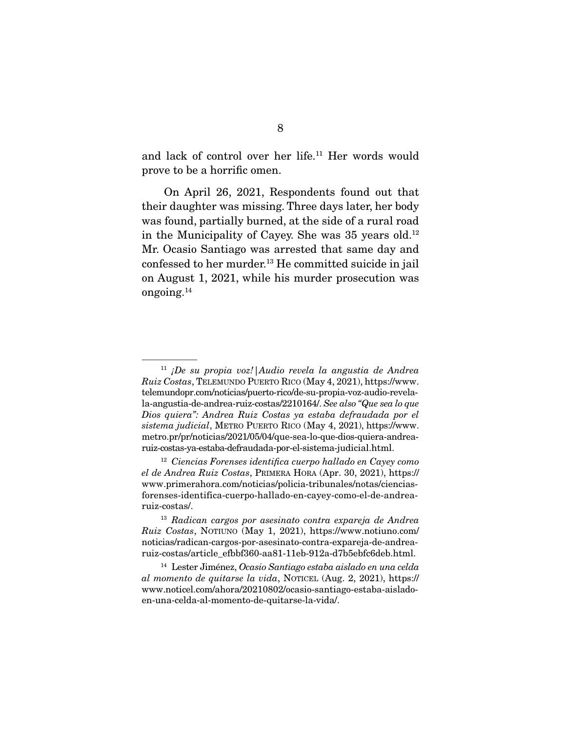and lack of control over her life.<sup>11</sup> Her words would prove to be a horrific omen.

 On April 26, 2021, Respondents found out that their daughter was missing. Three days later, her body was found, partially burned, at the side of a rural road in the Municipality of Cayey. She was  $35$  years old.<sup>12</sup> Mr. Ocasio Santiago was arrested that same day and confessed to her murder.<sup>13</sup> He committed suicide in jail on August 1, 2021, while his murder prosecution was ongoing.14

 $11$  ¡De su propia voz!|Audio revela la angustia de Andrea Ruiz Costas, TELEMUNDO PUERTO RICO (May 4, 2021), https://www. telemundopr.com/noticias/puerto-rico/de-su-propia-voz-audio-revelala-angustia-de-andrea-ruiz-costas/2210164/. See also "Que sea lo que Dios quiera": Andrea Ruiz Costas ya estaba defraudada por el sistema judicial, METRO PUERTO RICO (May 4, 2021), https://www. metro.pr/pr/noticias/2021/05/04/que-sea-lo-que-dios-quiera-andrearuiz-costas-ya-estaba-defraudada-por-el-sistema-judicial.html.

 $12$  Ciencias Forenses identifica cuerpo hallado en Cayey como el de Andrea Ruiz Costas, PRIMERA HORA (Apr. 30, 2021), https:// www.primerahora.com/noticias/policia-tribunales/notas/cienciasforenses-identifica-cuerpo-hallado-en-cayey-como-el-de-andrearuiz-costas/.

<sup>13</sup> Radican cargos por asesinato contra expareja de Andrea Ruiz Costas, NOTIUNO (May 1, 2021), https://www.notiuno.com/ noticias/radican-cargos-por-asesinato-contra-expareja-de-andrearuiz-costas/article\_efbbf360-aa81-11eb-912a-d7b5ebfc6deb.html.

<sup>14</sup> Lester Jiménez, Ocasio Santiago estaba aislado en una celda al momento de quitarse la vida, NOTICEL (Aug. 2, 2021), https:// www.noticel.com/ahora/20210802/ocasio-santiago-estaba-aisladoen-una-celda-al-momento-de-quitarse-la-vida/.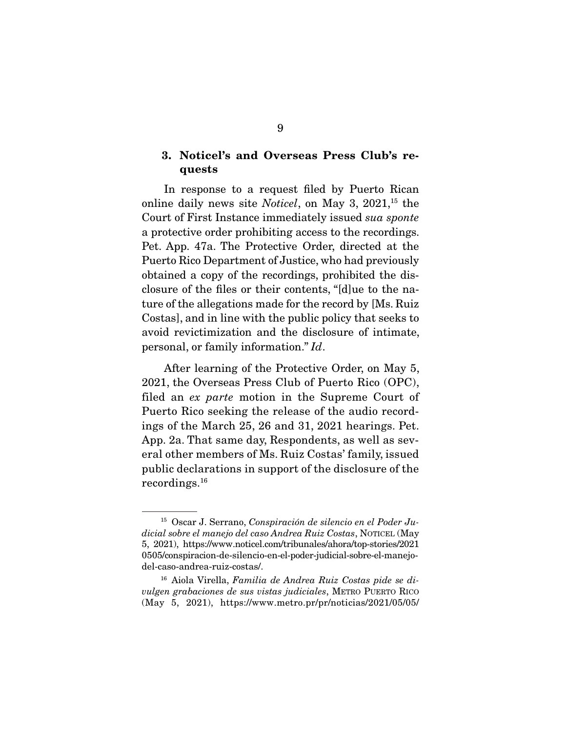### **3. Noticel's and Overseas Press Club's requests**

 In response to a request filed by Puerto Rican online daily news site *Noticel*, on May 3,  $2021$ <sup>15</sup> the Court of First Instance immediately issued sua sponte a protective order prohibiting access to the recordings. Pet. App. 47a. The Protective Order, directed at the Puerto Rico Department of Justice, who had previously obtained a copy of the recordings, prohibited the disclosure of the files or their contents, "[d]ue to the nature of the allegations made for the record by [Ms. Ruiz Costas], and in line with the public policy that seeks to avoid revictimization and the disclosure of intimate, personal, or family information." Id.

 After learning of the Protective Order, on May 5, 2021, the Overseas Press Club of Puerto Rico (OPC), filed an ex parte motion in the Supreme Court of Puerto Rico seeking the release of the audio recordings of the March 25, 26 and 31, 2021 hearings. Pet. App. 2a. That same day, Respondents, as well as several other members of Ms. Ruiz Costas' family, issued public declarations in support of the disclosure of the recordings.16

 $15$  Oscar J. Serrano, Conspiración de silencio en el Poder Judicial sobre el manejo del caso Andrea Ruiz Costas, NOTICEL (May 5, 2021), https://www.noticel.com/tribunales/ahora/top-stories/2021 0505/conspiracion-de-silencio-en-el-poder-judicial-sobre-el-manejodel-caso-andrea-ruiz-costas/.

 $16$  Aiola Virella, Familia de Andrea Ruiz Costas pide se divulgen grabaciones de sus vistas judiciales, METRO PUERTO RICO (May 5, 2021), https://www.metro.pr/pr/noticias/2021/05/05/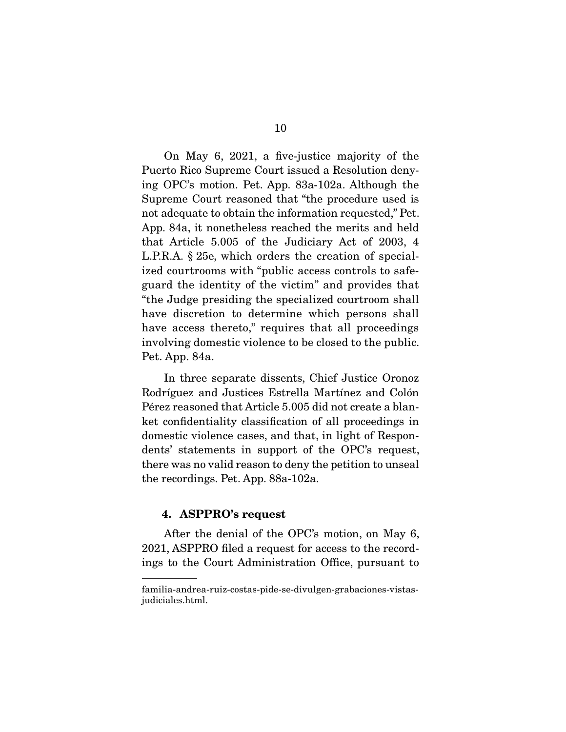On May 6, 2021, a five-justice majority of the Puerto Rico Supreme Court issued a Resolution denying OPC's motion. Pet. App. 83a-102a. Although the Supreme Court reasoned that "the procedure used is not adequate to obtain the information requested," Pet. App. 84a, it nonetheless reached the merits and held that Article 5.005 of the Judiciary Act of 2003, 4 L.P.R.A. § 25e, which orders the creation of specialized courtrooms with "public access controls to safeguard the identity of the victim" and provides that "the Judge presiding the specialized courtroom shall have discretion to determine which persons shall have access thereto," requires that all proceedings involving domestic violence to be closed to the public. Pet. App. 84a.

 In three separate dissents, Chief Justice Oronoz Rodríguez and Justices Estrella Martínez and Colón Pérez reasoned that Article 5.005 did not create a blanket confidentiality classification of all proceedings in domestic violence cases, and that, in light of Respondents' statements in support of the OPC's request, there was no valid reason to deny the petition to unseal the recordings. Pet. App. 88a-102a.

#### **4. ASPPRO's request**

 After the denial of the OPC's motion, on May 6, 2021, ASPPRO filed a request for access to the recordings to the Court Administration Office, pursuant to

familia-andrea-ruiz-costas-pide-se-divulgen-grabaciones-vistasjudiciales.html.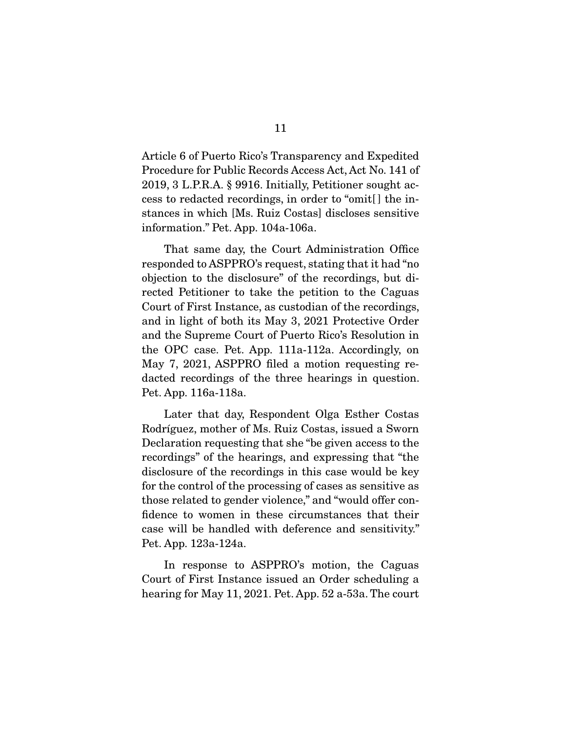Article 6 of Puerto Rico's Transparency and Expedited Procedure for Public Records Access Act, Act No. 141 of 2019, 3 L.P.R.A. § 9916. Initially, Petitioner sought access to redacted recordings, in order to "omit[ ] the instances in which [Ms. Ruiz Costas] discloses sensitive information." Pet. App. 104a-106a.

 That same day, the Court Administration Office responded to ASPPRO's request, stating that it had "no objection to the disclosure" of the recordings, but directed Petitioner to take the petition to the Caguas Court of First Instance, as custodian of the recordings, and in light of both its May 3, 2021 Protective Order and the Supreme Court of Puerto Rico's Resolution in the OPC case. Pet. App. 111a-112a. Accordingly, on May 7, 2021, ASPPRO filed a motion requesting redacted recordings of the three hearings in question. Pet. App. 116a-118a.

 Later that day, Respondent Olga Esther Costas Rodríguez, mother of Ms. Ruiz Costas, issued a Sworn Declaration requesting that she "be given access to the recordings" of the hearings, and expressing that "the disclosure of the recordings in this case would be key for the control of the processing of cases as sensitive as those related to gender violence," and "would offer confidence to women in these circumstances that their case will be handled with deference and sensitivity." Pet. App. 123a-124a.

 In response to ASPPRO's motion, the Caguas Court of First Instance issued an Order scheduling a hearing for May 11, 2021. Pet. App. 52 a-53a. The court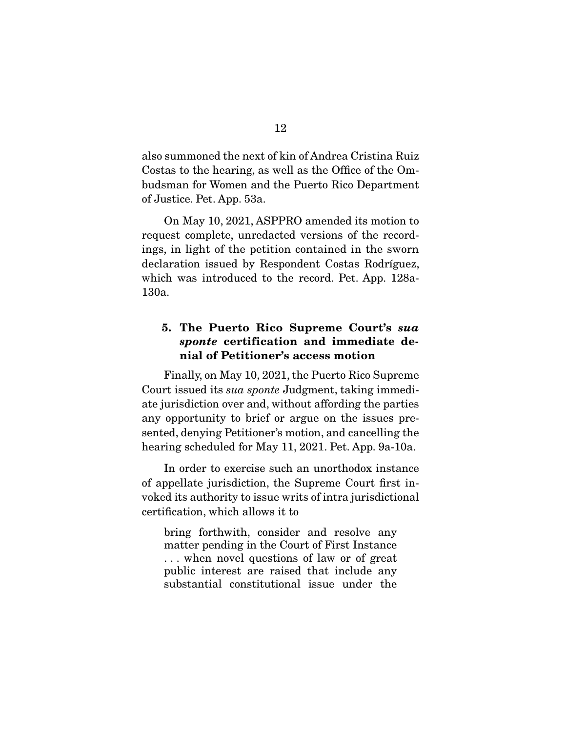also summoned the next of kin of Andrea Cristina Ruiz Costas to the hearing, as well as the Office of the Ombudsman for Women and the Puerto Rico Department of Justice. Pet. App. 53a.

 On May 10, 2021, ASPPRO amended its motion to request complete, unredacted versions of the recordings, in light of the petition contained in the sworn declaration issued by Respondent Costas Rodríguez, which was introduced to the record. Pet. App. 128a-130a.

## **5. The Puerto Rico Supreme Court's** *sua sponte* **certification and immediate denial of Petitioner's access motion**

 Finally, on May 10, 2021, the Puerto Rico Supreme Court issued its sua sponte Judgment, taking immediate jurisdiction over and, without affording the parties any opportunity to brief or argue on the issues presented, denying Petitioner's motion, and cancelling the hearing scheduled for May 11, 2021. Pet. App. 9a-10a.

 In order to exercise such an unorthodox instance of appellate jurisdiction, the Supreme Court first invoked its authority to issue writs of intra jurisdictional certification, which allows it to

bring forthwith, consider and resolve any matter pending in the Court of First Instance . . . when novel questions of law or of great public interest are raised that include any substantial constitutional issue under the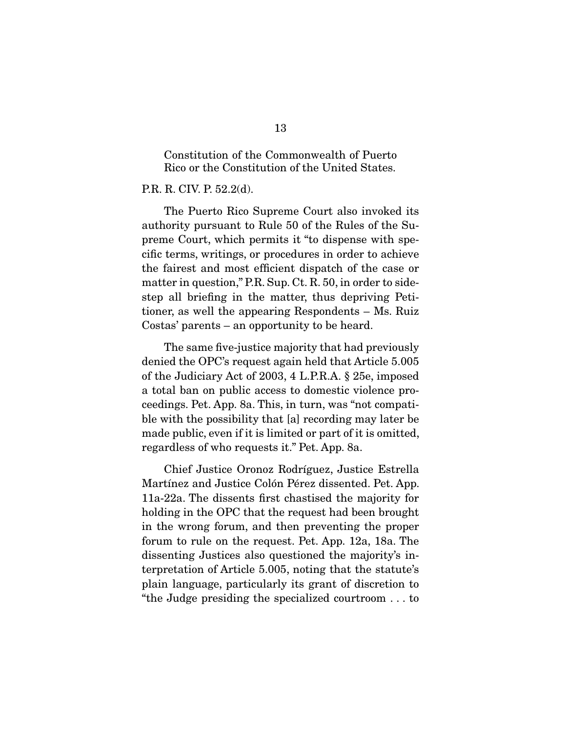Constitution of the Commonwealth of Puerto Rico or the Constitution of the United States.

#### P.R. R. CIV. P. 52.2(d).

 The Puerto Rico Supreme Court also invoked its authority pursuant to Rule 50 of the Rules of the Supreme Court, which permits it "to dispense with specific terms, writings, or procedures in order to achieve the fairest and most efficient dispatch of the case or matter in question," P.R. Sup. Ct. R. 50, in order to sidestep all briefing in the matter, thus depriving Petitioner, as well the appearing Respondents – Ms. Ruiz Costas' parents – an opportunity to be heard.

 The same five-justice majority that had previously denied the OPC's request again held that Article 5.005 of the Judiciary Act of 2003, 4 L.P.R.A. § 25e, imposed a total ban on public access to domestic violence proceedings. Pet. App. 8a. This, in turn, was "not compatible with the possibility that [a] recording may later be made public, even if it is limited or part of it is omitted, regardless of who requests it." Pet. App. 8a.

 Chief Justice Oronoz Rodríguez, Justice Estrella Martínez and Justice Colón Pérez dissented. Pet. App. 11a-22a. The dissents first chastised the majority for holding in the OPC that the request had been brought in the wrong forum, and then preventing the proper forum to rule on the request. Pet. App. 12a, 18a. The dissenting Justices also questioned the majority's interpretation of Article 5.005, noting that the statute's plain language, particularly its grant of discretion to "the Judge presiding the specialized courtroom . . . to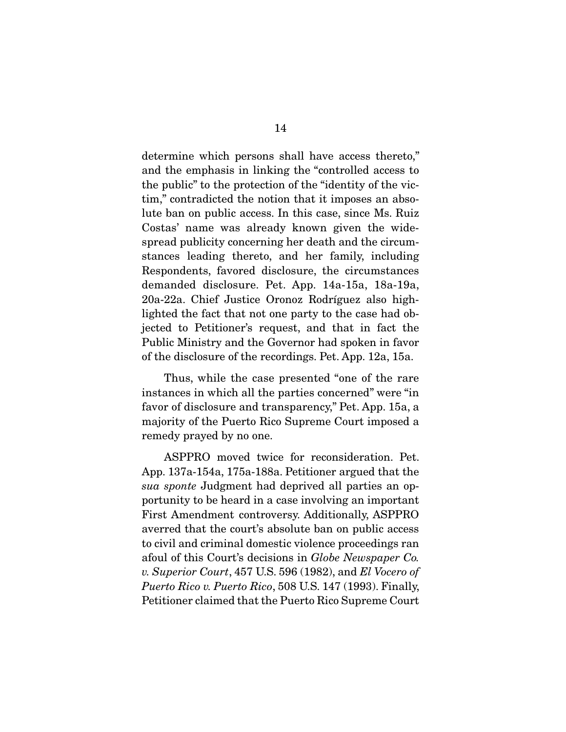determine which persons shall have access thereto," and the emphasis in linking the "controlled access to the public" to the protection of the "identity of the victim," contradicted the notion that it imposes an absolute ban on public access. In this case, since Ms. Ruiz Costas' name was already known given the widespread publicity concerning her death and the circumstances leading thereto, and her family, including Respondents, favored disclosure, the circumstances demanded disclosure. Pet. App. 14a-15a, 18a-19a, 20a-22a. Chief Justice Oronoz Rodríguez also highlighted the fact that not one party to the case had objected to Petitioner's request, and that in fact the Public Ministry and the Governor had spoken in favor of the disclosure of the recordings. Pet. App. 12a, 15a.

 Thus, while the case presented "one of the rare instances in which all the parties concerned" were "in favor of disclosure and transparency," Pet. App. 15a, a majority of the Puerto Rico Supreme Court imposed a remedy prayed by no one.

 ASPPRO moved twice for reconsideration. Pet. App. 137a-154a, 175a-188a. Petitioner argued that the sua sponte Judgment had deprived all parties an opportunity to be heard in a case involving an important First Amendment controversy. Additionally, ASPPRO averred that the court's absolute ban on public access to civil and criminal domestic violence proceedings ran afoul of this Court's decisions in Globe Newspaper Co. v. Superior Court, 457 U.S. 596 (1982), and El Vocero of Puerto Rico v. Puerto Rico, 508 U.S. 147 (1993). Finally, Petitioner claimed that the Puerto Rico Supreme Court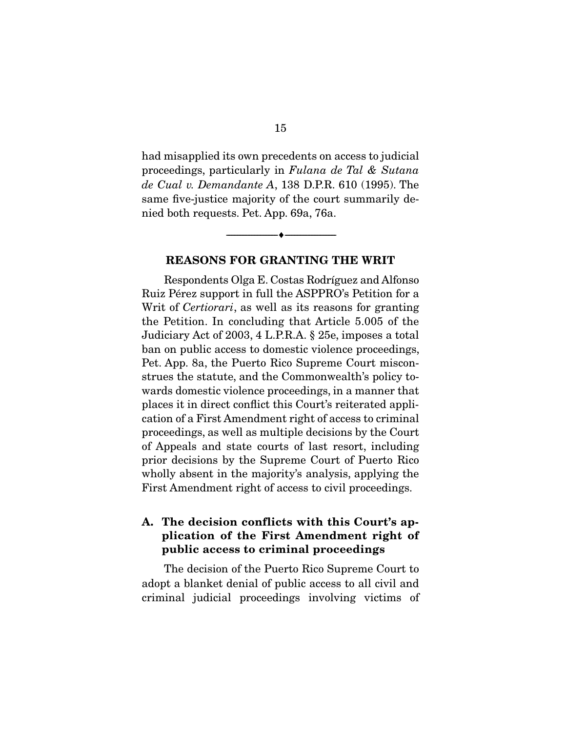had misapplied its own precedents on access to judicial proceedings, particularly in Fulana de Tal & Sutana de Cual v. Demandante A, 138 D.P.R. 610 (1995). The same five-justice majority of the court summarily denied both requests. Pet. App. 69a, 76a.

#### **REASONS FOR GRANTING THE WRIT**

--------------------------------- ♦ ---------------------------------

Respondents Olga E. Costas Rodríguez and Alfonso Ruiz Pérez support in full the ASPPRO's Petition for a Writ of *Certiorari*, as well as its reasons for granting the Petition. In concluding that Article 5.005 of the Judiciary Act of 2003, 4 L.P.R.A. § 25e, imposes a total ban on public access to domestic violence proceedings, Pet. App. 8a, the Puerto Rico Supreme Court misconstrues the statute, and the Commonwealth's policy towards domestic violence proceedings, in a manner that places it in direct conflict this Court's reiterated application of a First Amendment right of access to criminal proceedings, as well as multiple decisions by the Court of Appeals and state courts of last resort, including prior decisions by the Supreme Court of Puerto Rico wholly absent in the majority's analysis, applying the First Amendment right of access to civil proceedings.

## **A. The decision conflicts with this Court's application of the First Amendment right of public access to criminal proceedings**

The decision of the Puerto Rico Supreme Court to adopt a blanket denial of public access to all civil and criminal judicial proceedings involving victims of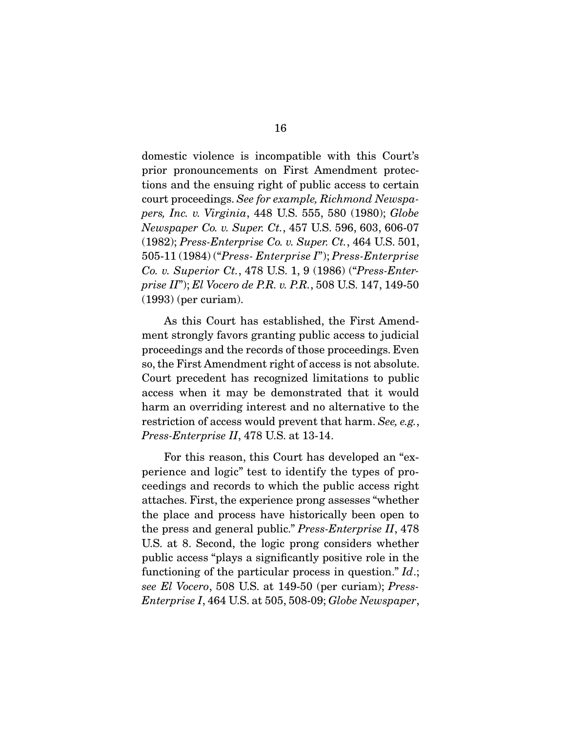domestic violence is incompatible with this Court's prior pronouncements on First Amendment protections and the ensuing right of public access to certain court proceedings. See for example, Richmond Newspapers, Inc. v. Virginia, 448 U.S. 555, 580 (1980); Globe Newspaper Co. v. Super. Ct., 457 U.S. 596, 603, 606-07 (1982); Press-Enterprise Co. v. Super. Ct., 464 U.S. 501, 505-11 (1984) ("Press- Enterprise I"); Press-Enterprise Co. v. Superior Ct., 478 U.S. 1, 9 (1986) ("Press-Enterprise II"); El Vocero de P.R. v. P.R., 508 U.S. 147, 149-50 (1993) (per curiam).

 As this Court has established, the First Amendment strongly favors granting public access to judicial proceedings and the records of those proceedings. Even so, the First Amendment right of access is not absolute. Court precedent has recognized limitations to public access when it may be demonstrated that it would harm an overriding interest and no alternative to the restriction of access would prevent that harm. See, e.g., Press-Enterprise II, 478 U.S. at 13-14.

 For this reason, this Court has developed an "experience and logic" test to identify the types of proceedings and records to which the public access right attaches. First, the experience prong assesses "whether the place and process have historically been open to the press and general public." Press-Enterprise II, 478 U.S. at 8. Second, the logic prong considers whether public access "plays a significantly positive role in the functioning of the particular process in question."  $Id$ .; see El Vocero, 508 U.S. at 149-50 (per curiam); Press-Enterprise I, 464 U.S. at 505, 508-09; Globe Newspaper,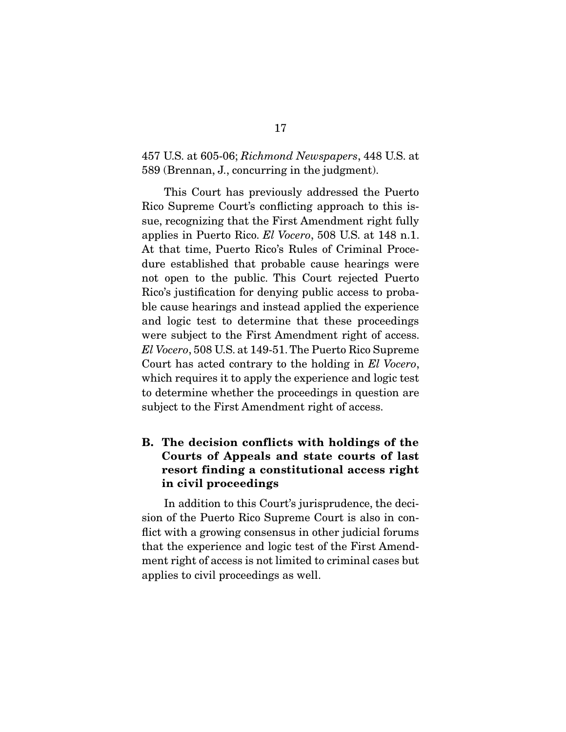### 457 U.S. at 605-06; Richmond Newspapers, 448 U.S. at 589 (Brennan, J., concurring in the judgment).

 This Court has previously addressed the Puerto Rico Supreme Court's conflicting approach to this issue, recognizing that the First Amendment right fully applies in Puerto Rico. El Vocero, 508 U.S. at 148 n.1. At that time, Puerto Rico's Rules of Criminal Procedure established that probable cause hearings were not open to the public. This Court rejected Puerto Rico's justification for denying public access to probable cause hearings and instead applied the experience and logic test to determine that these proceedings were subject to the First Amendment right of access. El Vocero, 508 U.S. at 149-51. The Puerto Rico Supreme Court has acted contrary to the holding in El Vocero, which requires it to apply the experience and logic test to determine whether the proceedings in question are subject to the First Amendment right of access.

## **B. The decision conflicts with holdings of the Courts of Appeals and state courts of last resort finding a constitutional access right in civil proceedings**

In addition to this Court's jurisprudence, the decision of the Puerto Rico Supreme Court is also in conflict with a growing consensus in other judicial forums that the experience and logic test of the First Amendment right of access is not limited to criminal cases but applies to civil proceedings as well.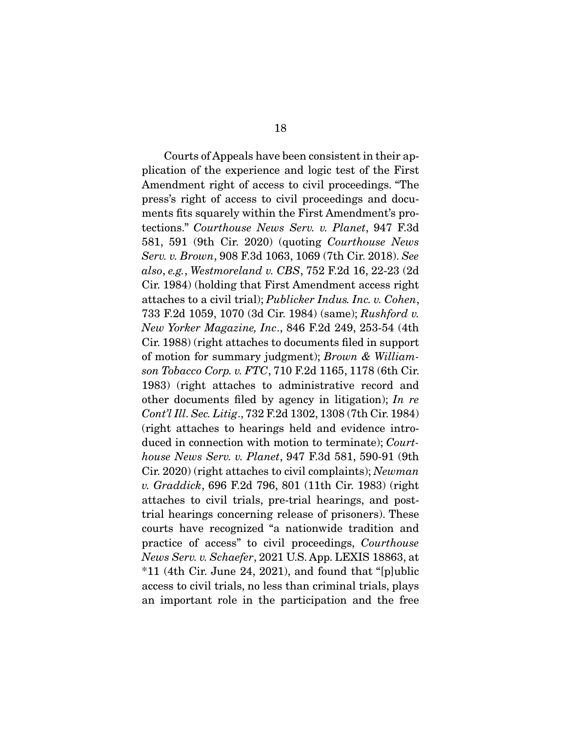Courts of Appeals have been consistent in their application of the experience and logic test of the First Amendment right of access to civil proceedings. "The press's right of access to civil proceedings and documents fits squarely within the First Amendment's protections." Courthouse News Serv. v. Planet, 947 F.3d 581, 591 (9th Cir. 2020) (quoting Courthouse News Serv. v. Brown, 908 F.3d 1063, 1069 (7th Cir. 2018). See also, e.g., Westmoreland v. CBS, 752 F.2d 16, 22-23 (2d Cir. 1984) (holding that First Amendment access right attaches to a civil trial); Publicker Indus. Inc. v. Cohen, 733 F.2d 1059, 1070 (3d Cir. 1984) (same); Rushford v. New Yorker Magazine, Inc., 846 F.2d 249, 253-54 (4th Cir. 1988) (right attaches to documents filed in support of motion for summary judgment); Brown & Williamson Tobacco Corp. v. FTC, 710 F.2d 1165, 1178 (6th Cir. 1983) (right attaches to administrative record and other documents filed by agency in litigation); In re Cont'l Ill. Sec. Litig., 732 F.2d 1302, 1308 (7th Cir. 1984) (right attaches to hearings held and evidence introduced in connection with motion to terminate); Courthouse News Serv. v. Planet, 947 F.3d 581, 590-91 (9th Cir. 2020) (right attaches to civil complaints); Newman v. Graddick, 696 F.2d 796, 801 (11th Cir. 1983) (right attaches to civil trials, pre-trial hearings, and posttrial hearings concerning release of prisoners). These courts have recognized "a nationwide tradition and practice of access" to civil proceedings, Courthouse News Serv. v. Schaefer, 2021 U.S. App. LEXIS 18863, at  $*11$  (4th Cir. June 24, 2021), and found that "[p]ublic access to civil trials, no less than criminal trials, plays an important role in the participation and the free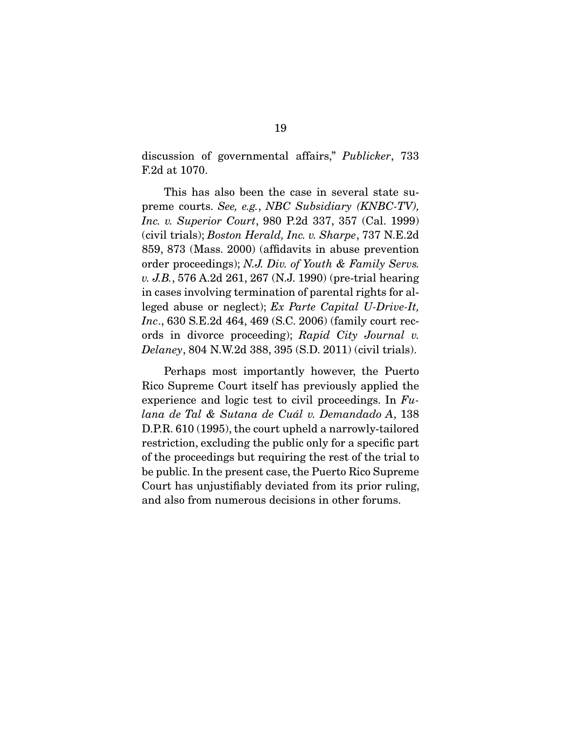discussion of governmental affairs," Publicker, 733 F.2d at 1070.

 This has also been the case in several state supreme courts. See, e.g., NBC Subsidiary (KNBC-TV), Inc. v. Superior Court, 980 P.2d 337, 357 (Cal. 1999) (civil trials); Boston Herald, Inc. v. Sharpe, 737 N.E.2d 859, 873 (Mass. 2000) (affidavits in abuse prevention order proceedings); N.J. Div. of Youth & Family Servs. v. J.B., 576 A.2d 261, 267 (N.J. 1990) (pre-trial hearing in cases involving termination of parental rights for alleged abuse or neglect); Ex Parte Capital U-Drive-It, Inc., 630 S.E.2d 464, 469 (S.C. 2006) (family court records in divorce proceeding); Rapid City Journal v. Delaney, 804 N.W.2d 388, 395 (S.D. 2011) (civil trials).

 Perhaps most importantly however, the Puerto Rico Supreme Court itself has previously applied the experience and logic test to civil proceedings. In  $Fu$ lana de Tal & Sutana de Cuál v. Demandado A, 138 D.P.R. 610 (1995), the court upheld a narrowly-tailored restriction, excluding the public only for a specific part of the proceedings but requiring the rest of the trial to be public. In the present case, the Puerto Rico Supreme Court has unjustifiably deviated from its prior ruling, and also from numerous decisions in other forums.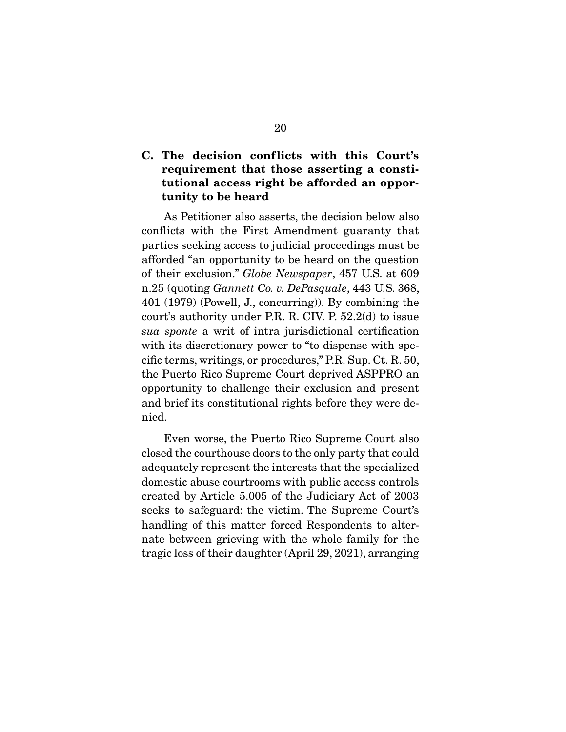## **C. The decision conflicts with this Court's requirement that those asserting a constitutional access right be afforded an opportunity to be heard**

As Petitioner also asserts, the decision below also conflicts with the First Amendment guaranty that parties seeking access to judicial proceedings must be afforded "an opportunity to be heard on the question of their exclusion." Globe Newspaper, 457 U.S. at 609 n.25 (quoting Gannett Co. v. DePasquale, 443 U.S. 368, 401 (1979) (Powell, J., concurring)). By combining the court's authority under P.R. R. CIV. P. 52.2(d) to issue sua sponte a writ of intra jurisdictional certification with its discretionary power to "to dispense with specific terms, writings, or procedures," P.R. Sup. Ct. R. 50, the Puerto Rico Supreme Court deprived ASPPRO an opportunity to challenge their exclusion and present and brief its constitutional rights before they were denied.

 Even worse, the Puerto Rico Supreme Court also closed the courthouse doors to the only party that could adequately represent the interests that the specialized domestic abuse courtrooms with public access controls created by Article 5.005 of the Judiciary Act of 2003 seeks to safeguard: the victim. The Supreme Court's handling of this matter forced Respondents to alternate between grieving with the whole family for the tragic loss of their daughter (April 29, 2021), arranging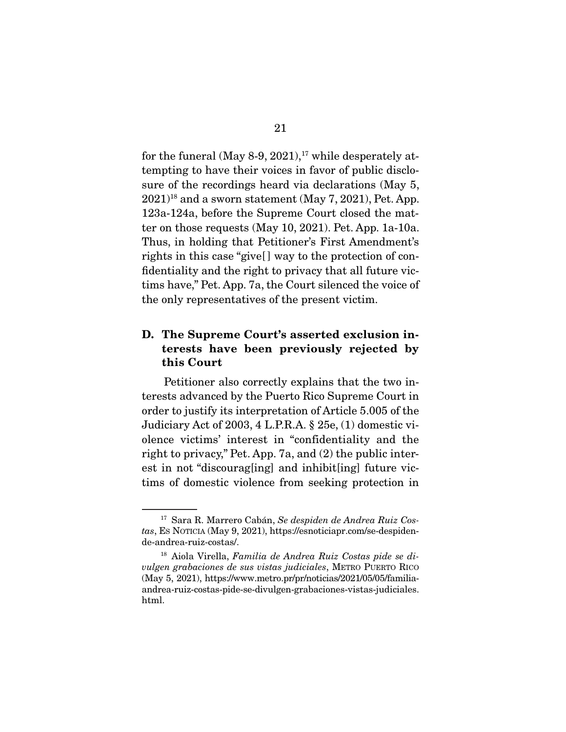for the funeral (May 8-9, 2021),<sup>17</sup> while desperately attempting to have their voices in favor of public disclosure of the recordings heard via declarations (May 5,  $2021$ <sup>18</sup> and a sworn statement (May 7, 2021), Pet. App. 123a-124a, before the Supreme Court closed the matter on those requests (May 10, 2021). Pet. App. 1a-10a. Thus, in holding that Petitioner's First Amendment's rights in this case "give[ ] way to the protection of confidentiality and the right to privacy that all future victims have," Pet. App. 7a, the Court silenced the voice of the only representatives of the present victim.

## **D. The Supreme Court's asserted exclusion interests have been previously rejected by this Court**

Petitioner also correctly explains that the two interests advanced by the Puerto Rico Supreme Court in order to justify its interpretation of Article 5.005 of the Judiciary Act of 2003, 4 L.P.R.A. § 25e, (1) domestic violence victims' interest in "confidentiality and the right to privacy," Pet. App. 7a, and (2) the public interest in not "discourag[ing] and inhibit[ing] future victims of domestic violence from seeking protection in

<sup>17</sup> Sara R. Marrero Cabán, Se despiden de Andrea Ruiz Costas, ES NOTICIA (May 9, 2021), https://esnoticiapr.com/se-despidende-andrea-ruiz-costas/.

<sup>18</sup> Aiola Virella, Familia de Andrea Ruiz Costas pide se divulgen grabaciones de sus vistas judiciales, METRO PUERTO RICO (May 5, 2021), https://www.metro.pr/pr/noticias/2021/05/05/familiaandrea-ruiz-costas-pide-se-divulgen-grabaciones-vistas-judiciales. html.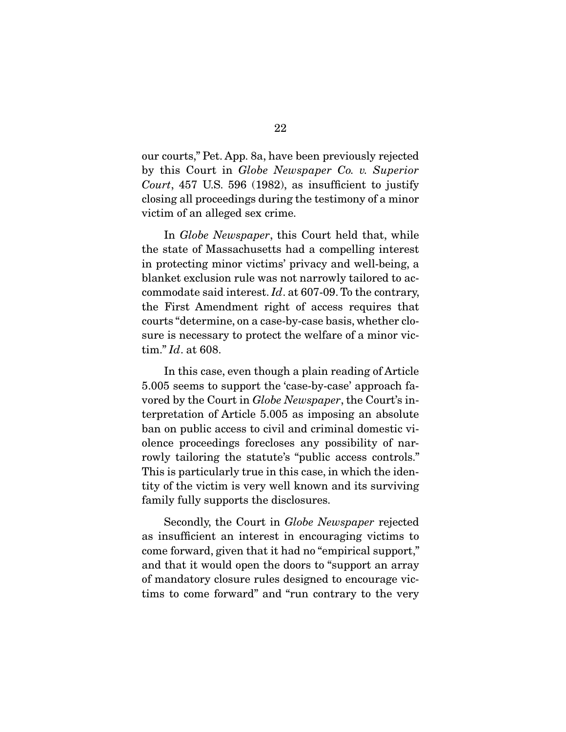our courts," Pet. App. 8a, have been previously rejected by this Court in Globe Newspaper Co. v. Superior Court, 457 U.S. 596 (1982), as insufficient to justify closing all proceedings during the testimony of a minor victim of an alleged sex crime.

 In Globe Newspaper, this Court held that, while the state of Massachusetts had a compelling interest in protecting minor victims' privacy and well-being, a blanket exclusion rule was not narrowly tailored to accommodate said interest. Id. at 607-09. To the contrary, the First Amendment right of access requires that courts "determine, on a case-by-case basis, whether closure is necessary to protect the welfare of a minor victim." Id. at 608.

 In this case, even though a plain reading of Article 5.005 seems to support the 'case-by-case' approach favored by the Court in Globe Newspaper, the Court's interpretation of Article 5.005 as imposing an absolute ban on public access to civil and criminal domestic violence proceedings forecloses any possibility of narrowly tailoring the statute's "public access controls." This is particularly true in this case, in which the identity of the victim is very well known and its surviving family fully supports the disclosures.

 Secondly, the Court in Globe Newspaper rejected as insufficient an interest in encouraging victims to come forward, given that it had no "empirical support," and that it would open the doors to "support an array of mandatory closure rules designed to encourage victims to come forward" and "run contrary to the very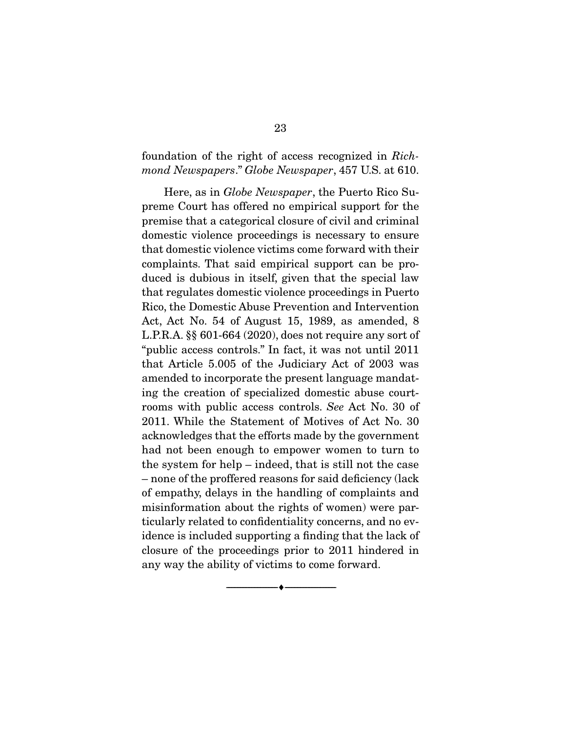## foundation of the right of access recognized in Richmond Newspapers." Globe Newspaper, 457 U.S. at 610.

 Here, as in Globe Newspaper, the Puerto Rico Supreme Court has offered no empirical support for the premise that a categorical closure of civil and criminal domestic violence proceedings is necessary to ensure that domestic violence victims come forward with their complaints. That said empirical support can be produced is dubious in itself, given that the special law that regulates domestic violence proceedings in Puerto Rico, the Domestic Abuse Prevention and Intervention Act, Act No. 54 of August 15, 1989, as amended, 8 L.P.R.A. §§ 601-664 (2020), does not require any sort of "public access controls." In fact, it was not until 2011 that Article 5.005 of the Judiciary Act of 2003 was amended to incorporate the present language mandating the creation of specialized domestic abuse courtrooms with public access controls. See Act No. 30 of 2011. While the Statement of Motives of Act No. 30 acknowledges that the efforts made by the government had not been enough to empower women to turn to the system for help – indeed, that is still not the case – none of the proffered reasons for said deficiency (lack of empathy, delays in the handling of complaints and misinformation about the rights of women) were particularly related to confidentiality concerns, and no evidence is included supporting a finding that the lack of closure of the proceedings prior to 2011 hindered in any way the ability of victims to come forward.

--------------------------------- ♦ ---------------------------------